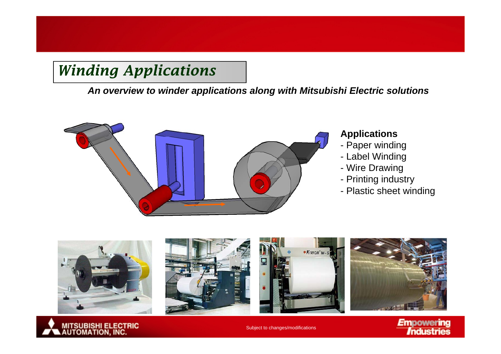*An overview to winder applications along with Mitsubishi Electric solutions*



### **Applications**

- Paper winding
- Label Winding
- Wire Drawing
- Printing industry
- Plastic sheet winding





Subject to changes/modifications

**Empowering** Industries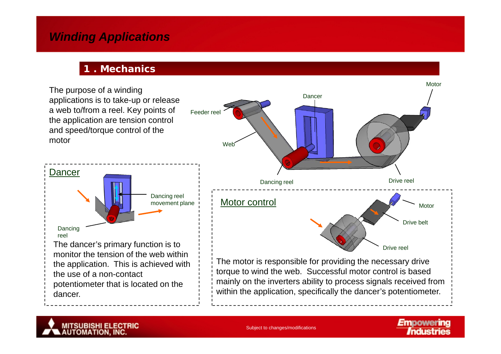#### **1 . Mechanics**





Subject to changes/modifications

**Empowering**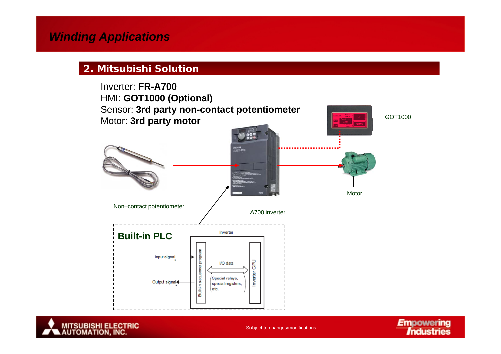#### **2. Mitsubishi Solution**





Subject to changes/modifications

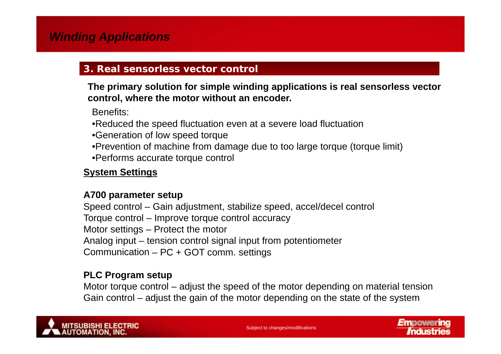### **3. Real sensorless vector control**

**The primary solution for simple winding applications is real sensorless vector control where the motor without an encoder control, encoder.**

Benefits:

- •Reduced the speed fluctuation even at a severe load fluctuation
- •Generation of low speed torque
- •Prevention of machine from damage due to too large torque (torque limit)
- •Performs accurate torque control

### **System Settings**

#### **A700 parameter setup**

Speed control – Gain adjustment, stabilize speed, accel/decel control Torque control – Improve torque control accuracy Motor settings – Protect the motor Analog input – tension control signal input from potentiometer Communication – PC + GOT comm. settings

### **PLC Program setup**

Motor torque control – adjust the speed of the motor depending on material tension Gain control – adjust the gain of the motor depending on the state of the system

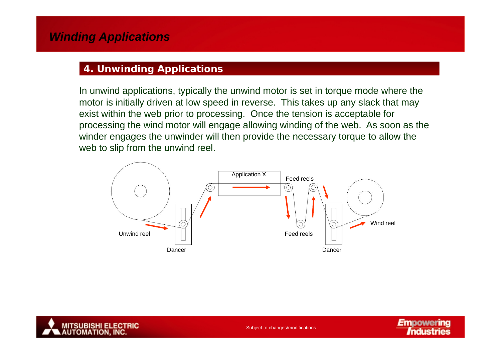## **4. Unwinding Applications**

In unwind applications, typically the unwind motor is set in torque mode where the motor is initially driven at low speed in reverse. This takes up any slack that may exist within the web prior to processing. Once the tension is acceptable for processing the wind motor will engage allowing winding of the web. As soon as the winder engages the unwinder will then provide the necessary torque to allow the allow web to slip from the unwind reel.





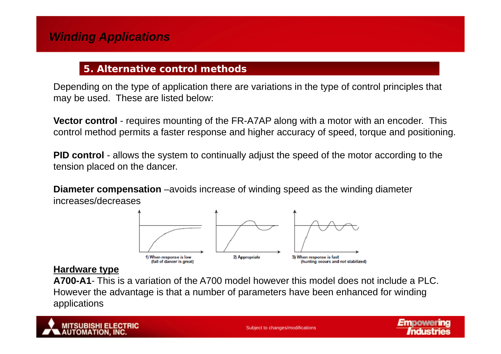## **5. Alternative control methods**

Depending on the type of application there are variations in the type of control principles that may be used. These are listed below:

**Vector control** - requires mounting of the FR-A7AP along with a motor with an encoder. This control method permits a faster response and higher accuracy of speed, torque and positioning.

**PID control** - allows the system to continually adjust the speed of the motor according to the tension placed on the dancer.

**Diameter compensation** –avoids increase of winding speed as the winding diameter increases/decreases



#### **Hardware type**

**A700-A1**- This is a variation of the A700 model however this model does not include a PLC. However the advantage is that a number of parameters have been enhanced for winding <sup>g</sup> gapplications



**Empowering**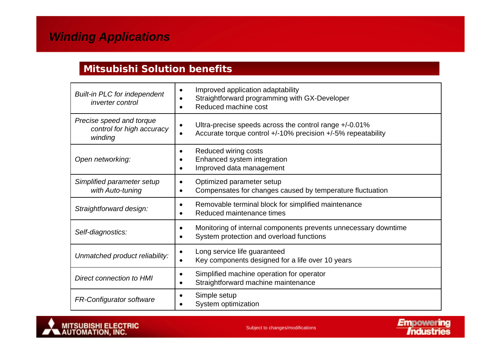### **Mitsubishi Solution benefits**

| <b>Built-in PLC for independent</b><br><i>inverter control</i>   | Improved application adaptability<br>Straightforward programming with GX-Developer<br>Reduced machine cost             |
|------------------------------------------------------------------|------------------------------------------------------------------------------------------------------------------------|
| Precise speed and torque<br>control for high accuracy<br>winding | Ultra-precise speeds across the control range +/-0.01%<br>Accurate torque control +/-10% precision +/-5% repeatability |
| Open networking:                                                 | Reduced wiring costs<br>٠<br>Enhanced system integration<br>Improved data management                                   |
| Simplified parameter setup<br>with Auto-tuning                   | Optimized parameter setup<br>Compensates for changes caused by temperature fluctuation                                 |
| Straightforward design:                                          | Removable terminal block for simplified maintenance<br>Reduced maintenance times                                       |
| Self-diagnostics:                                                | Monitoring of internal components prevents unnecessary downtime<br>System protection and overload functions            |
| Unmatched product reliability:                                   | Long service life guaranteed<br>Key components designed for a life over 10 years                                       |
| <b>Direct connection to HMI</b>                                  | Simplified machine operation for operator<br>Straightforward machine maintenance                                       |
| FR-Configurator software                                         | Simple setup<br>System optimization                                                                                    |



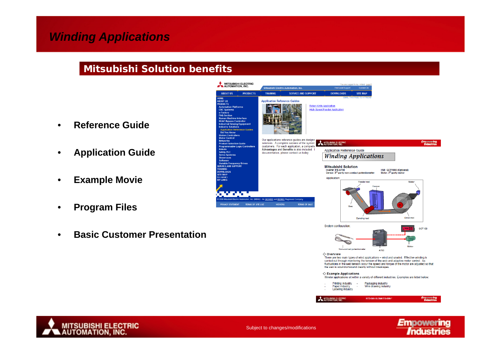#### **Mitsubishi Solution benefits**

- •**Reference Guide**
- •**Application Guide**
- •**Example Movie**
- •**Program Files**
- •**Basic Customer Presentation**